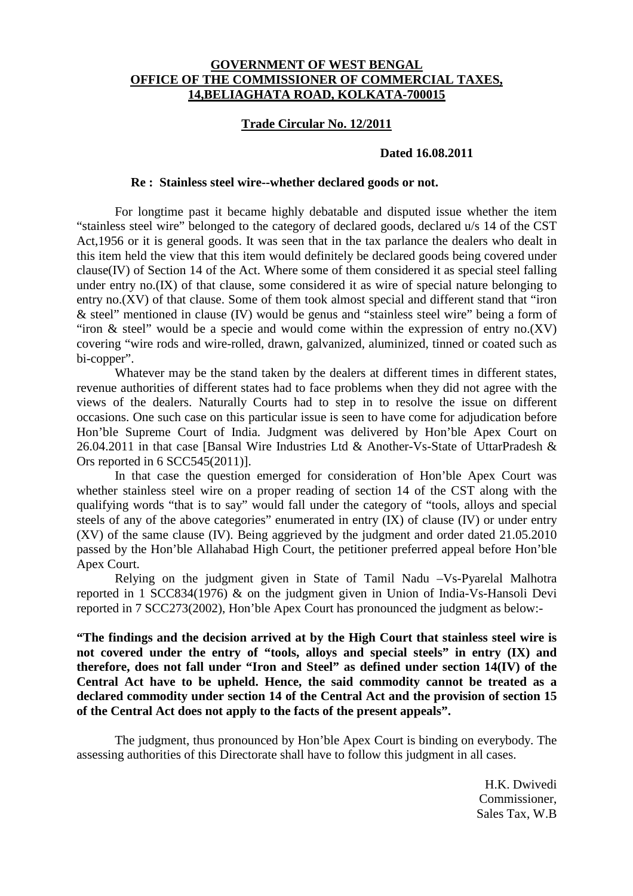## **GOVERNMENT OF WEST BENGAL OFFICE OF THE COMMISSIONER OF COMMERCIAL TAXES, 14,BELIAGHATA ROAD, KOLKATA-700015**

## **Trade Circular No. 12/2011**

## **Dated 16.08.2011**

## **Re : Stainless steel wire--whether declared goods or not.**

 For longtime past it became highly debatable and disputed issue whether the item "stainless steel wire" belonged to the category of declared goods, declared u/s 14 of the CST Act,1956 or it is general goods. It was seen that in the tax parlance the dealers who dealt in this item held the view that this item would definitely be declared goods being covered under clause(IV) of Section 14 of the Act. Where some of them considered it as special steel falling under entry no.(IX) of that clause, some considered it as wire of special nature belonging to entry no.(XV) of that clause. Some of them took almost special and different stand that "iron & steel" mentioned in clause (IV) would be genus and "stainless steel wire" being a form of "iron & steel" would be a specie and would come within the expression of entry no.(XV) covering "wire rods and wire-rolled, drawn, galvanized, aluminized, tinned or coated such as bi-copper".

 Whatever may be the stand taken by the dealers at different times in different states, revenue authorities of different states had to face problems when they did not agree with the views of the dealers. Naturally Courts had to step in to resolve the issue on different occasions. One such case on this particular issue is seen to have come for adjudication before Hon'ble Supreme Court of India. Judgment was delivered by Hon'ble Apex Court on 26.04.2011 in that case [Bansal Wire Industries Ltd & Another-Vs-State of UttarPradesh & Ors reported in 6 SCC545(2011)].

 In that case the question emerged for consideration of Hon'ble Apex Court was whether stainless steel wire on a proper reading of section 14 of the CST along with the qualifying words "that is to say" would fall under the category of "tools, alloys and special steels of any of the above categories" enumerated in entry (IX) of clause (IV) or under entry (XV) of the same clause (IV). Being aggrieved by the judgment and order dated 21.05.2010 passed by the Hon'ble Allahabad High Court, the petitioner preferred appeal before Hon'ble Apex Court.

 Relying on the judgment given in State of Tamil Nadu –Vs-Pyarelal Malhotra reported in 1 SCC834(1976) & on the judgment given in Union of India-Vs-Hansoli Devi reported in 7 SCC273(2002), Hon'ble Apex Court has pronounced the judgment as below:-

**"The findings and the decision arrived at by the High Court that stainless steel wire is not covered under the entry of "tools, alloys and special steels" in entry (IX) and therefore, does not fall under "Iron and Steel" as defined under section 14(IV) of the Central Act have to be upheld. Hence, the said commodity cannot be treated as a declared commodity under section 14 of the Central Act and the provision of section 15 of the Central Act does not apply to the facts of the present appeals".** 

 The judgment, thus pronounced by Hon'ble Apex Court is binding on everybody. The assessing authorities of this Directorate shall have to follow this judgment in all cases.

> H.K. Dwivedi Commissioner, Sales Tax, W.B